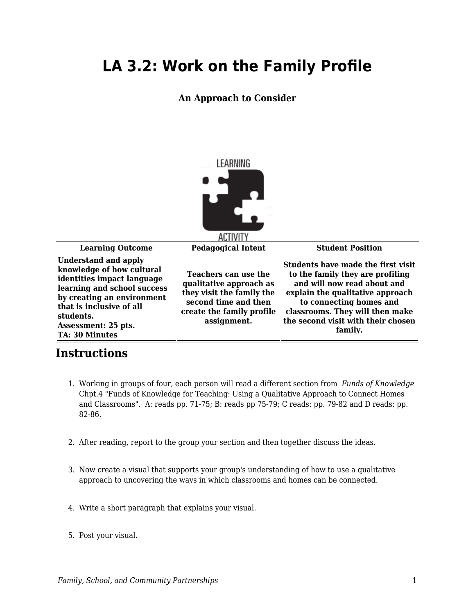## **LA 3.2: Work on the Family Profile**

## **An Approach to Consider**



**Learning Outcome Pedagogical Intent Student Position Understand and apply knowledge of how cultural identities impact language learning and school success by creating an environment that is inclusive of all students. Assessment: 25 pts. TA: 30 Minutes Teachers can use the qualitative approach as they visit the family the second time and then create the family profile**

**Instructions**

## 1. Working in groups of four, each person will read a different section from *Funds of Knowledge* Chpt.4 "Funds of Knowledge for Teaching: Using a Qualitative Approach to Connect Homes and Classrooms". A: reads pp. 71-75; B: reads pp 75-79; C reads: pp. 79-82 and D reads: pp. 82-86.

**assignment.**

- 2. After reading, report to the group your section and then together discuss the ideas.
- 3. Now create a visual that supports your group's understanding of how to use a qualitative approach to uncovering the ways in which classrooms and homes can be connected.
- 4. Write a short paragraph that explains your visual.
- 5. Post your visual.

**Students have made the first visit to the family they are profiling and will now read about and explain the qualitative approach to connecting homes and classrooms. They will then make the second visit with their chosen family.**